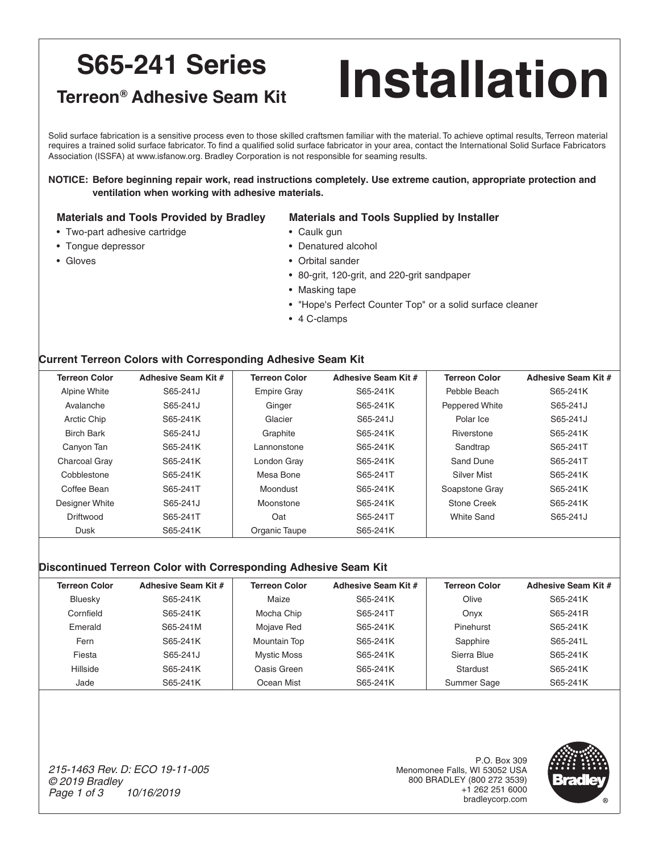## **S65-241 Series**

# **Installation**

#### **Terreon® Adhesive Seam Kit**

Solid surface fabrication is a sensitive process even to those skilled craftsmen familiar with the material. To achieve optimal results, Terreon material requires a trained solid surface fabricator. To find a qualified solid surface fabricator in your area, contact the International Solid Surface Fabricators Association (ISSFA) at www.isfanow.org. Bradley Corporation is not responsible for seaming results.

#### **NOTICE: Before beginning repair work, read instructions completely. Use extreme caution, appropriate protection and ventilation when working with adhesive materials.**

#### **Materials and Tools Provided by Bradley Materials and Tools Supplied by Installer**

- Two-part adhesive cartridge Caulk gun
- Tongue depressor Denatured alcohol
- Gloves Croital sander
	- 80-grit, 120-grit, and 220-grit sandpaper
	- Masking tape
	- "Hope's Perfect Counter Top" or a solid surface cleaner
	- 4 C-clamps

#### **Current Terreon Colors with Corresponding Adhesive Seam Kit**

| <b>Terreon Color</b> | Adhesive Seam Kit # | <b>Terreon Color</b> | Adhesive Seam Kit # | <b>Terreon Color</b> | Adhesive Seam Kit # |
|----------------------|---------------------|----------------------|---------------------|----------------------|---------------------|
| Alpine White         | S65-241J            | <b>Empire Gray</b>   | S65-241K            | Pebble Beach         | S65-241K            |
| Avalanche            | S65-241J            | Ginger               | S65-241K            | Peppered White       | S65-241J            |
| Arctic Chip          | S65-241K            | Glacier              | S65-241J            | Polar Ice            | S65-241J            |
| <b>Birch Bark</b>    | S65-241J            | Graphite             | S65-241K            | Riverstone           | S65-241K            |
| Canyon Tan           | S65-241K            | Lannonstone          | S65-241K            | Sandtrap             | S65-241T            |
| <b>Charcoal Gray</b> | S65-241K            | London Gray          | S65-241K            | Sand Dune            | S65-241T            |
| Cobblestone          | S65-241K            | Mesa Bone            | S65-241T            | Silver Mist          | S65-241K            |
| Coffee Bean          | S65-241T            | Moondust             | S65-241K            | Soapstone Gray       | S65-241K            |
| Designer White       | S65-241J            | Moonstone            | S65-241K            | Stone Creek          | S65-241K            |
| Driftwood            | S65-241T            | Oat                  | S65-241T            | <b>White Sand</b>    | S65-241J            |
| Dusk                 | S65-241K            | Organic Taupe        | S65-241K            |                      |                     |

#### **Discontinued Terreon Color with Corresponding Adhesive Seam Kit**

| <b>Terreon Color</b> | Adhesive Seam Kit # | <b>Terreon Color</b> | Adhesive Seam Kit # | <b>Terreon Color</b> | Adhesive Seam Kit # |
|----------------------|---------------------|----------------------|---------------------|----------------------|---------------------|
| Bluesky              | S65-241K            | Maize                | S65-241K            | Olive                | S65-241K            |
| Cornfield            | S65-241K            | Mocha Chip           | S65-241T            | Onvx                 | S65-241R            |
| Emerald              | S65-241M            | Mojave Red           | S65-241K            | Pinehurst            | S65-241K            |
| Fern                 | S65-241K            | <b>Mountain Top</b>  | S65-241K            | Sapphire             | S65-241L            |
| Fiesta               | S65-241J            | <b>Mystic Moss</b>   | S65-241K            | Sierra Blue          | S65-241K            |
| Hillside             | S65-241K            | Oasis Green          | S65-241K            | Stardust             | S65-241K            |
| Jade                 | S65-241K            | Ocean Mist           | S65-241K            | Summer Sage          | S65-241K            |

*215-1463 Rev. D: ECO 19-11-005 © 2019 Bradley Page 1 of 3 10/16/2019*

P.O. Box 309 Menomonee Falls, WI 53052 USA 800 BRADLEY (800 272 3539) +1 262 251 6000 bradleycorp.com

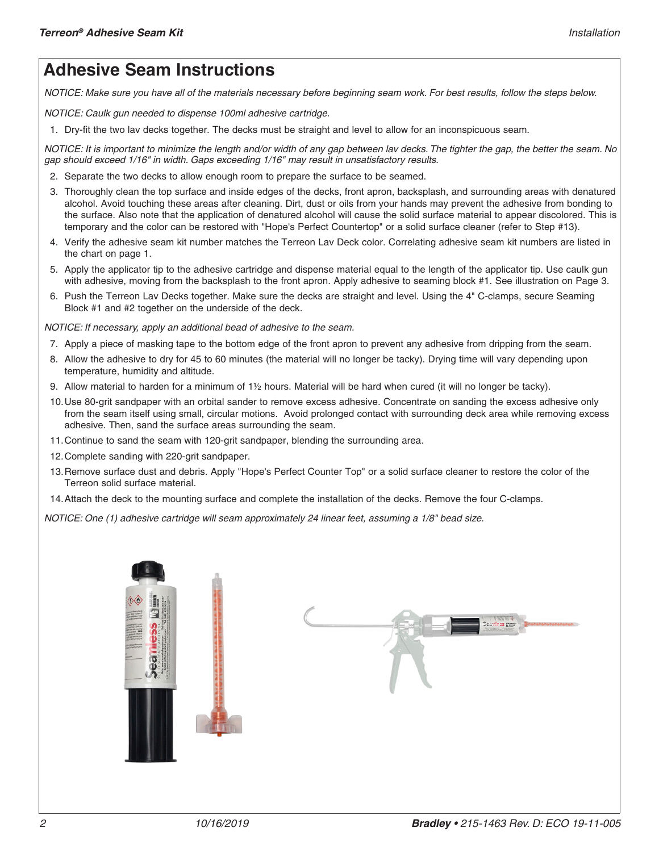### **Adhesive Seam Instructions**

*NOTICE: Make sure you have all of the materials necessary before beginning seam work. For best results, follow the steps below.*

*NOTICE: Caulk gun needed to dispense 100ml adhesive cartridge.*

1. Dry-fit the two lav decks together. The decks must be straight and level to allow for an inconspicuous seam.

*NOTICE: It is important to minimize the length and/or width of any gap between lav decks. The tighter the gap, the better the seam. No gap should exceed 1/16" in width. Gaps exceeding 1/16" may result in unsatisfactory results.*

- 2. Separate the two decks to allow enough room to prepare the surface to be seamed.
- 3. Thoroughly clean the top surface and inside edges of the decks, front apron, backsplash, and surrounding areas with denatured alcohol. Avoid touching these areas after cleaning. Dirt, dust or oils from your hands may prevent the adhesive from bonding to the surface. Also note that the application of denatured alcohol will cause the solid surface material to appear discolored. This is temporary and the color can be restored with "Hope's Perfect Countertop" or a solid surface cleaner (refer to Step #13).
- 4. Verify the adhesive seam kit number matches the Terreon Lav Deck color. Correlating adhesive seam kit numbers are listed in the chart on page 1.
- 5. Apply the applicator tip to the adhesive cartridge and dispense material equal to the length of the applicator tip. Use caulk gun with adhesive, moving from the backsplash to the front apron. Apply adhesive to seaming block #1. See illustration on Page 3.
- 6. Push the Terreon Lav Decks together. Make sure the decks are straight and level. Using the 4" C-clamps, secure Seaming Block #1 and #2 together on the underside of the deck.

*NOTICE: If necessary, apply an additional bead of adhesive to the seam.*

- 7. Apply a piece of masking tape to the bottom edge of the front apron to prevent any adhesive from dripping from the seam.
- 8. Allow the adhesive to dry for 45 to 60 minutes (the material will no longer be tacky). Drying time will vary depending upon temperature, humidity and altitude.
- 9. Allow material to harden for a minimum of 1½ hours. Material will be hard when cured (it will no longer be tacky).
- 10.Use 80-grit sandpaper with an orbital sander to remove excess adhesive. Concentrate on sanding the excess adhesive only from the seam itself using small, circular motions. Avoid prolonged contact with surrounding deck area while removing excess adhesive. Then, sand the surface areas surrounding the seam.
- 11.Continue to sand the seam with 120-grit sandpaper, blending the surrounding area.
- 12.Complete sanding with 220-grit sandpaper.
- 13.Remove surface dust and debris. Apply "Hope's Perfect Counter Top" or a solid surface cleaner to restore the color of the Terreon solid surface material.
- 14.Attach the deck to the mounting surface and complete the installation of the decks. Remove the four C-clamps.

*NOTICE: One (1) adhesive cartridge will seam approximately 24 linear feet, assuming a 1/8" bead size.*